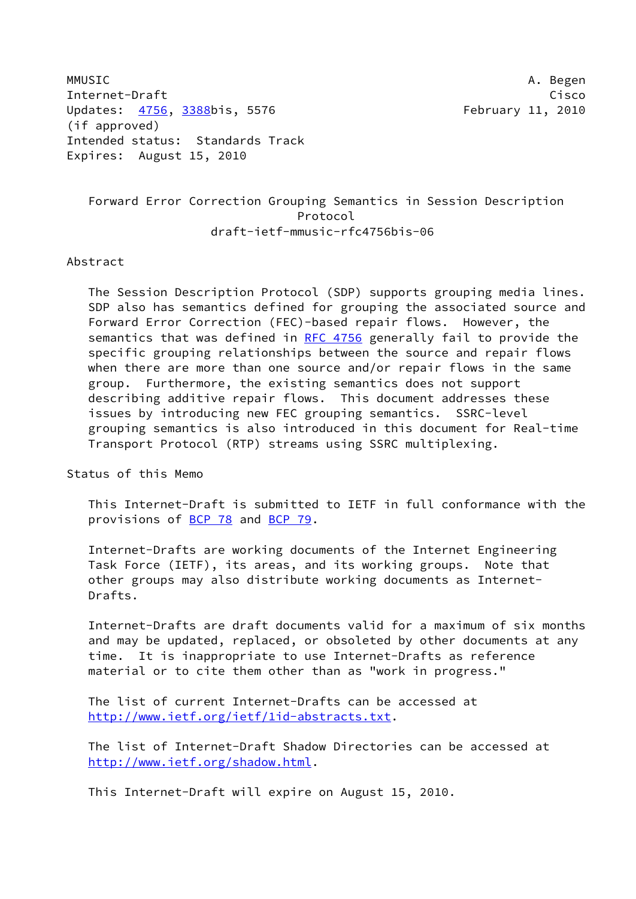MMUSIC A. Begen Internet-Draft Cisco Updates: [4756,](https://datatracker.ietf.org/doc/pdf/rfc4756) [3388](https://datatracker.ietf.org/doc/pdf/rfc3388)bis, 5576 February 11, 2010 (if approved) Intended status: Standards Track Expires: August 15, 2010

# Forward Error Correction Grouping Semantics in Session Description Protocol draft-ietf-mmusic-rfc4756bis-06

#### Abstract

 The Session Description Protocol (SDP) supports grouping media lines. SDP also has semantics defined for grouping the associated source and Forward Error Correction (FEC)-based repair flows. However, the semantics that was defined in [RFC 4756](https://datatracker.ietf.org/doc/pdf/rfc4756) generally fail to provide the specific grouping relationships between the source and repair flows when there are more than one source and/or repair flows in the same group. Furthermore, the existing semantics does not support describing additive repair flows. This document addresses these issues by introducing new FEC grouping semantics. SSRC-level grouping semantics is also introduced in this document for Real-time Transport Protocol (RTP) streams using SSRC multiplexing.

Status of this Memo

 This Internet-Draft is submitted to IETF in full conformance with the provisions of [BCP 78](https://datatracker.ietf.org/doc/pdf/bcp78) and [BCP 79](https://datatracker.ietf.org/doc/pdf/bcp79).

 Internet-Drafts are working documents of the Internet Engineering Task Force (IETF), its areas, and its working groups. Note that other groups may also distribute working documents as Internet- Drafts.

 Internet-Drafts are draft documents valid for a maximum of six months and may be updated, replaced, or obsoleted by other documents at any time. It is inappropriate to use Internet-Drafts as reference material or to cite them other than as "work in progress."

 The list of current Internet-Drafts can be accessed at <http://www.ietf.org/ietf/1id-abstracts.txt>.

 The list of Internet-Draft Shadow Directories can be accessed at <http://www.ietf.org/shadow.html>.

This Internet-Draft will expire on August 15, 2010.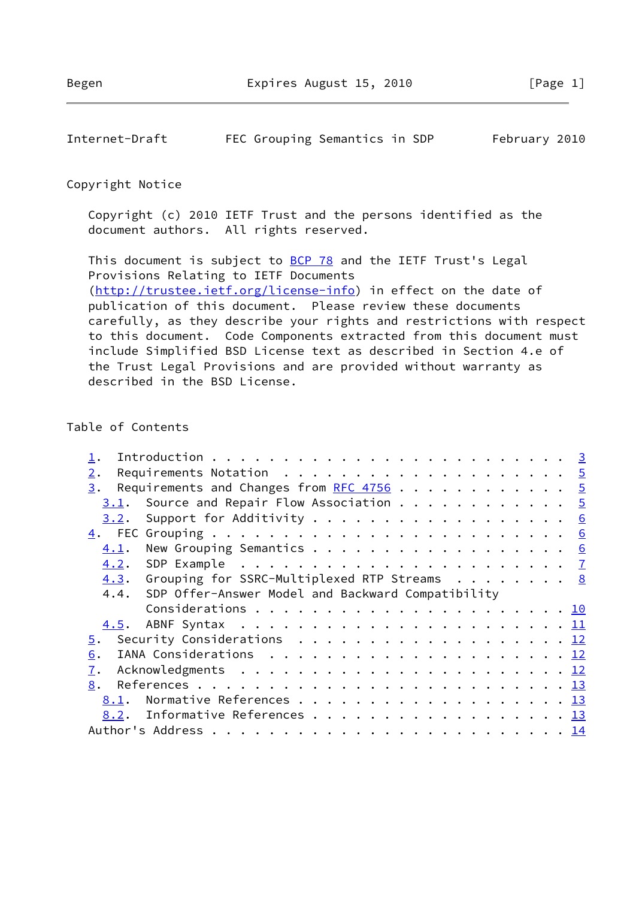| Internet-Draft |  |  | FEC Grouping Semantics in SDP |  |  | February 2010 |  |
|----------------|--|--|-------------------------------|--|--|---------------|--|
|----------------|--|--|-------------------------------|--|--|---------------|--|

### Copyright Notice

 Copyright (c) 2010 IETF Trust and the persons identified as the document authors. All rights reserved.

This document is subject to **[BCP 78](https://datatracker.ietf.org/doc/pdf/bcp78)** and the IETF Trust's Legal Provisions Relating to IETF Documents [\(http://trustee.ietf.org/license-info](http://trustee.ietf.org/license-info)) in effect on the date of publication of this document. Please review these documents carefully, as they describe your rights and restrictions with respect to this document. Code Components extracted from this document must include Simplified BSD License text as described in Section 4.e of the Trust Legal Provisions and are provided without warranty as described in the BSD License.

### Table of Contents

| $2$ . |      | Requirements Notation $\ldots \ldots \ldots \ldots \ldots \ldots \ldots$                |  |  |  |  |
|-------|------|-----------------------------------------------------------------------------------------|--|--|--|--|
| 3.    |      | Requirements and Changes from RFC 4756 5                                                |  |  |  |  |
|       | 3.1. | Source and Repair Flow Association $\cdots$ 5                                           |  |  |  |  |
|       | 3.2. |                                                                                         |  |  |  |  |
|       |      |                                                                                         |  |  |  |  |
|       | 4.1. |                                                                                         |  |  |  |  |
|       |      |                                                                                         |  |  |  |  |
|       |      | 4.3. Grouping for SSRC-Multiplexed RTP Streams 8                                        |  |  |  |  |
|       |      | 4.4. SDP Offer-Answer Model and Backward Compatibility                                  |  |  |  |  |
|       |      |                                                                                         |  |  |  |  |
|       |      |                                                                                         |  |  |  |  |
| 5.    |      | Security Considerations $\ldots \ldots \ldots \ldots \ldots \ldots \ldots \frac{12}{2}$ |  |  |  |  |
| 6.    |      |                                                                                         |  |  |  |  |
| 7.    |      |                                                                                         |  |  |  |  |
| 8.    |      |                                                                                         |  |  |  |  |
|       | 8.1. |                                                                                         |  |  |  |  |
|       |      | 8.2. Informative References 13                                                          |  |  |  |  |
|       |      |                                                                                         |  |  |  |  |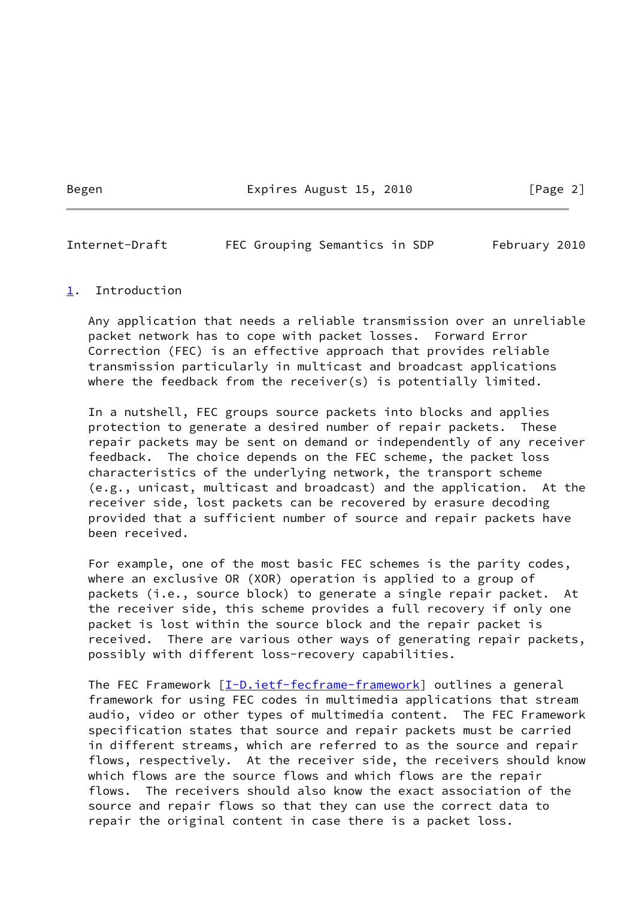Begen Expires August 15, 2010 [Page 2]

<span id="page-2-1"></span>Internet-Draft FEC Grouping Semantics in SDP February 2010

### <span id="page-2-0"></span>[1](#page-2-0). Introduction

 Any application that needs a reliable transmission over an unreliable packet network has to cope with packet losses. Forward Error Correction (FEC) is an effective approach that provides reliable transmission particularly in multicast and broadcast applications where the feedback from the receiver(s) is potentially limited.

 In a nutshell, FEC groups source packets into blocks and applies protection to generate a desired number of repair packets. These repair packets may be sent on demand or independently of any receiver feedback. The choice depends on the FEC scheme, the packet loss characteristics of the underlying network, the transport scheme (e.g., unicast, multicast and broadcast) and the application. At the receiver side, lost packets can be recovered by erasure decoding provided that a sufficient number of source and repair packets have been received.

 For example, one of the most basic FEC schemes is the parity codes, where an exclusive OR (XOR) operation is applied to a group of packets (i.e., source block) to generate a single repair packet. At the receiver side, this scheme provides a full recovery if only one packet is lost within the source block and the repair packet is received. There are various other ways of generating repair packets, possibly with different loss-recovery capabilities.

The FEC Framework [[I-D.ietf-fecframe-framework](#page-14-2)] outlines a general framework for using FEC codes in multimedia applications that stream audio, video or other types of multimedia content. The FEC Framework specification states that source and repair packets must be carried in different streams, which are referred to as the source and repair flows, respectively. At the receiver side, the receivers should know which flows are the source flows and which flows are the repair flows. The receivers should also know the exact association of the source and repair flows so that they can use the correct data to repair the original content in case there is a packet loss.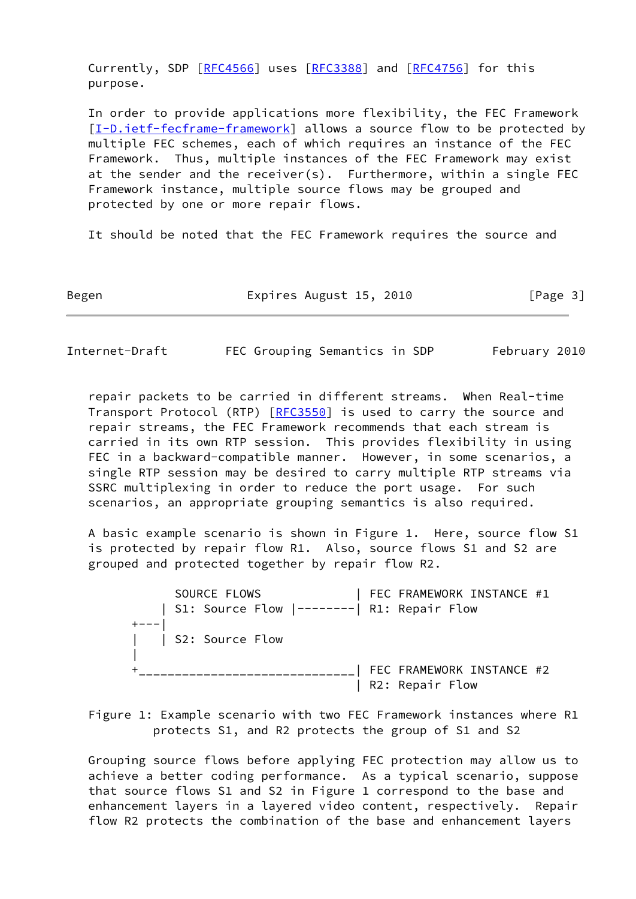Currently, SDP [\[RFC4566](https://datatracker.ietf.org/doc/pdf/rfc4566)] uses [[RFC3388](https://datatracker.ietf.org/doc/pdf/rfc3388)] and [\[RFC4756](https://datatracker.ietf.org/doc/pdf/rfc4756)] for this purpose.

 In order to provide applications more flexibility, the FEC Framework [\[I-D.ietf-fecframe-framework](#page-14-2)] allows a source flow to be protected by multiple FEC schemes, each of which requires an instance of the FEC Framework. Thus, multiple instances of the FEC Framework may exist at the sender and the receiver(s). Furthermore, within a single FEC Framework instance, multiple source flows may be grouped and protected by one or more repair flows.

It should be noted that the FEC Framework requires the source and

Begen Expires August 15, 2010 [Page 3]

Internet-Draft FEC Grouping Semantics in SDP February 2010

 repair packets to be carried in different streams. When Real-time Transport Protocol (RTP) [\[RFC3550](https://datatracker.ietf.org/doc/pdf/rfc3550)] is used to carry the source and repair streams, the FEC Framework recommends that each stream is carried in its own RTP session. This provides flexibility in using FEC in a backward-compatible manner. However, in some scenarios, a single RTP session may be desired to carry multiple RTP streams via SSRC multiplexing in order to reduce the port usage. For such scenarios, an appropriate grouping semantics is also required.

 A basic example scenario is shown in Figure 1. Here, source flow S1 is protected by repair flow R1. Also, source flows S1 and S2 are grouped and protected together by repair flow R2.

 SOURCE FLOWS | FEC FRAMEWORK INSTANCE #1 | S1: Source Flow |--------| R1: Repair Flow  $+---$  | | S2: Source Flow | +\_\_\_\_\_\_\_\_\_\_\_\_\_\_\_\_\_\_\_\_\_\_\_\_\_\_\_\_\_\_| FEC FRAMEWORK INSTANCE #2 | R2: Repair Flow

 Figure 1: Example scenario with two FEC Framework instances where R1 protects S1, and R2 protects the group of S1 and S2

 Grouping source flows before applying FEC protection may allow us to achieve a better coding performance. As a typical scenario, suppose that source flows S1 and S2 in Figure 1 correspond to the base and enhancement layers in a layered video content, respectively. Repair flow R2 protects the combination of the base and enhancement layers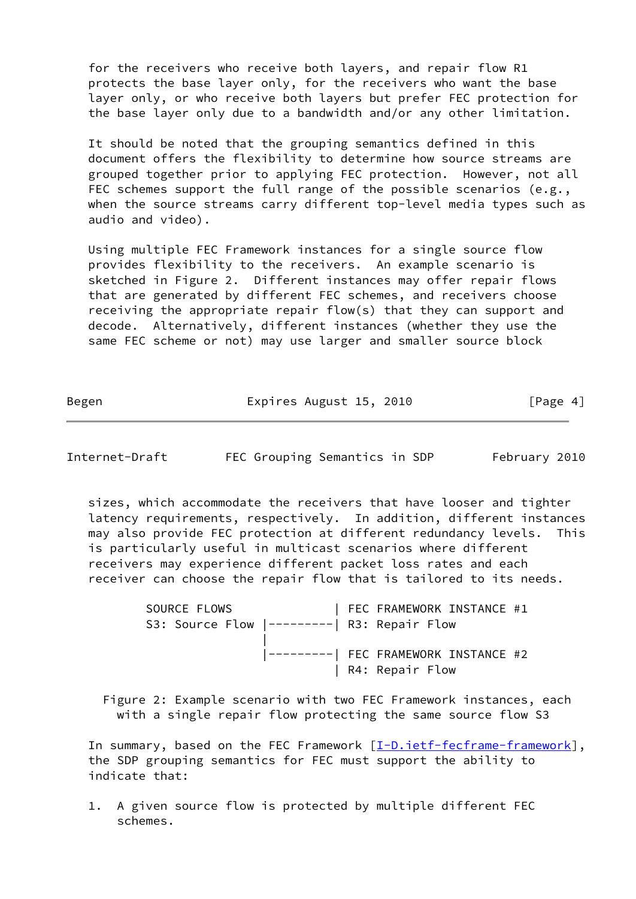for the receivers who receive both layers, and repair flow R1 protects the base layer only, for the receivers who want the base layer only, or who receive both layers but prefer FEC protection for the base layer only due to a bandwidth and/or any other limitation.

 It should be noted that the grouping semantics defined in this document offers the flexibility to determine how source streams are grouped together prior to applying FEC protection. However, not all FEC schemes support the full range of the possible scenarios (e.g., when the source streams carry different top-level media types such as audio and video).

 Using multiple FEC Framework instances for a single source flow provides flexibility to the receivers. An example scenario is sketched in Figure 2. Different instances may offer repair flows that are generated by different FEC schemes, and receivers choose receiving the appropriate repair flow(s) that they can support and decode. Alternatively, different instances (whether they use the same FEC scheme or not) may use larger and smaller source block

Begen Expires August 15, 2010 [Page 4]

Internet-Draft FEC Grouping Semantics in SDP February 2010

 sizes, which accommodate the receivers that have looser and tighter latency requirements, respectively. In addition, different instances may also provide FEC protection at different redundancy levels. This is particularly useful in multicast scenarios where different receivers may experience different packet loss rates and each receiver can choose the repair flow that is tailored to its needs.

SOURCE FLOWS | FEC FRAMEWORK INSTANCE #1 S3: Source Flow |---------| R3: Repair Flow | |---------| FEC FRAMEWORK INSTANCE #2 | R4: Repair Flow

 Figure 2: Example scenario with two FEC Framework instances, each with a single repair flow protecting the same source flow S3

In summary, based on the FEC Framework [\[I-D.ietf-fecframe-framework](#page-14-2)], the SDP grouping semantics for FEC must support the ability to indicate that:

 1. A given source flow is protected by multiple different FEC schemes.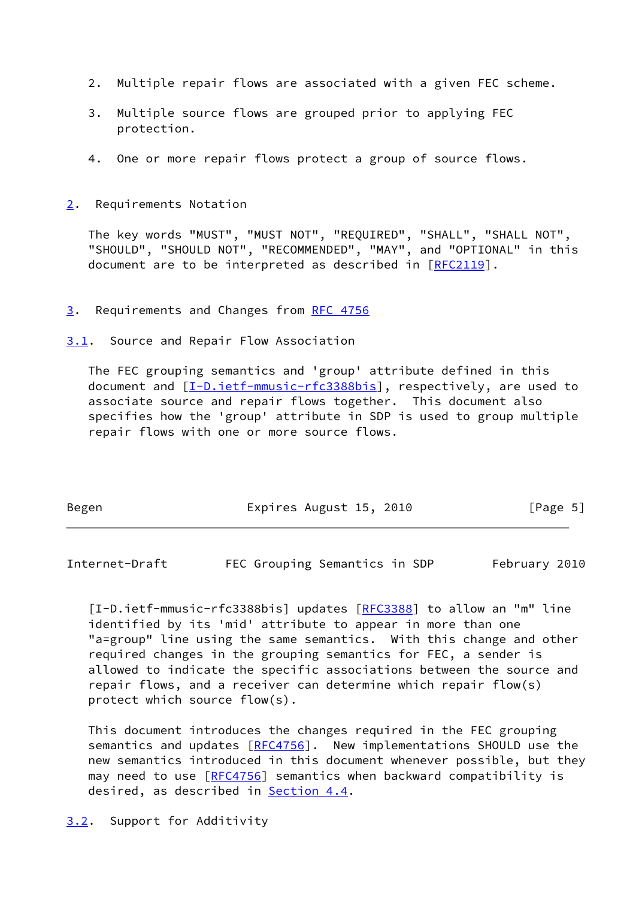- 2. Multiple repair flows are associated with a given FEC scheme.
- 3. Multiple source flows are grouped prior to applying FEC protection.
- 4. One or more repair flows protect a group of source flows.
- <span id="page-5-0"></span>[2](#page-5-0). Requirements Notation

 The key words "MUST", "MUST NOT", "REQUIRED", "SHALL", "SHALL NOT", "SHOULD", "SHOULD NOT", "RECOMMENDED", "MAY", and "OPTIONAL" in this document are to be interpreted as described in [\[RFC2119](https://datatracker.ietf.org/doc/pdf/rfc2119)].

#### <span id="page-5-1"></span>[3](#page-5-1). Requirements and Changes from [RFC 4756](https://datatracker.ietf.org/doc/pdf/rfc4756)

<span id="page-5-2"></span>[3.1](#page-5-2). Source and Repair Flow Association

 The FEC grouping semantics and 'group' attribute defined in this document and  $[I-D.iett-mmusic-rfc3388bis]$ , respectively, are used to associate source and repair flows together. This document also specifies how the 'group' attribute in SDP is used to group multiple repair flows with one or more source flows.

| Begen | Expires August 15, 2010 | [Page 5] |
|-------|-------------------------|----------|
|-------|-------------------------|----------|

<span id="page-5-4"></span>Internet-Draft FEC Grouping Semantics in SDP February 2010

<span id="page-5-5"></span> [I-D.ietf-mmusic-rfc3388bis] updates [\[RFC3388](https://datatracker.ietf.org/doc/pdf/rfc3388)] to allow an "m" line identified by its 'mid' attribute to appear in more than one "a=group" line using the same semantics. With this change and other required changes in the grouping semantics for FEC, a sender is allowed to indicate the specific associations between the source and repair flows, and a receiver can determine which repair flow(s) protect which source flow(s).

 This document introduces the changes required in the FEC grouping semantics and updates [[RFC4756](https://datatracker.ietf.org/doc/pdf/rfc4756)]. New implementations SHOULD use the new semantics introduced in this document whenever possible, but they may need to use  $[REC4756]$  semantics when backward compatibility is desired, as described in **Section 4.4**.

<span id="page-5-3"></span>[3.2](#page-5-3). Support for Additivity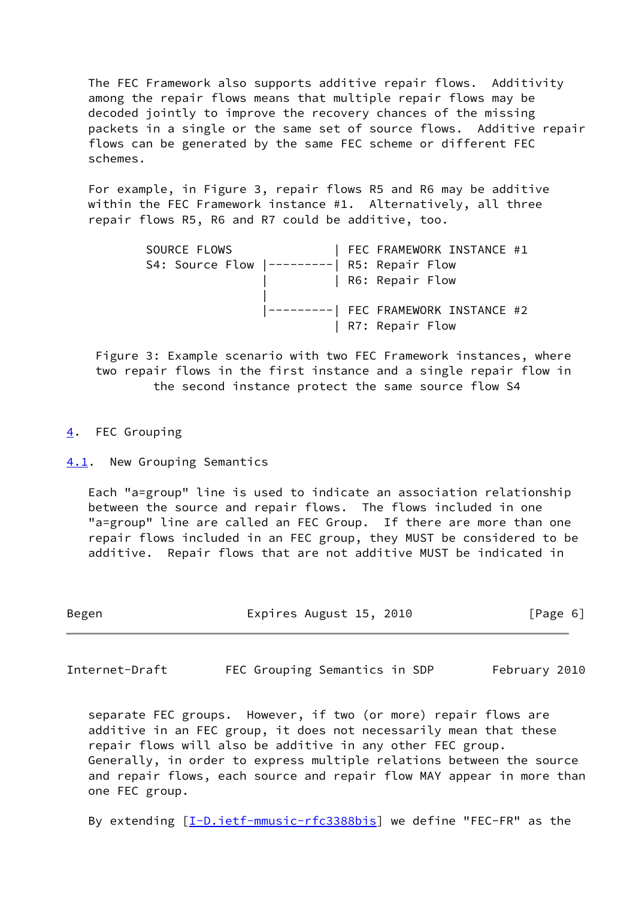The FEC Framework also supports additive repair flows. Additivity among the repair flows means that multiple repair flows may be decoded jointly to improve the recovery chances of the missing packets in a single or the same set of source flows. Additive repair flows can be generated by the same FEC scheme or different FEC schemes.

 For example, in Figure 3, repair flows R5 and R6 may be additive within the FEC Framework instance #1. Alternatively, all three repair flows R5, R6 and R7 could be additive, too.

 SOURCE FLOWS | FEC FRAMEWORK INSTANCE #1 S4: Source Flow |---------| R5: Repair Flow | | R6: Repair Flow | |---------| FEC FRAMEWORK INSTANCE #2 | R7: Repair Flow

 Figure 3: Example scenario with two FEC Framework instances, where two repair flows in the first instance and a single repair flow in the second instance protect the same source flow S4

<span id="page-6-0"></span>[4](#page-6-0). FEC Grouping

<span id="page-6-1"></span>[4.1](#page-6-1). New Grouping Semantics

 Each "a=group" line is used to indicate an association relationship between the source and repair flows. The flows included in one "a=group" line are called an FEC Group. If there are more than one repair flows included in an FEC group, they MUST be considered to be additive. Repair flows that are not additive MUST be indicated in

| Begen | Expires August 15, 2010 | [Page 6] |
|-------|-------------------------|----------|
|-------|-------------------------|----------|

<span id="page-6-2"></span>Internet-Draft FEC Grouping Semantics in SDP February 2010

 separate FEC groups. However, if two (or more) repair flows are additive in an FEC group, it does not necessarily mean that these repair flows will also be additive in any other FEC group. Generally, in order to express multiple relations between the source and repair flows, each source and repair flow MAY appear in more than one FEC group.

By extending  $[I-D.iett-mmusic-rfc3388bis]$  we define "FEC-FR" as the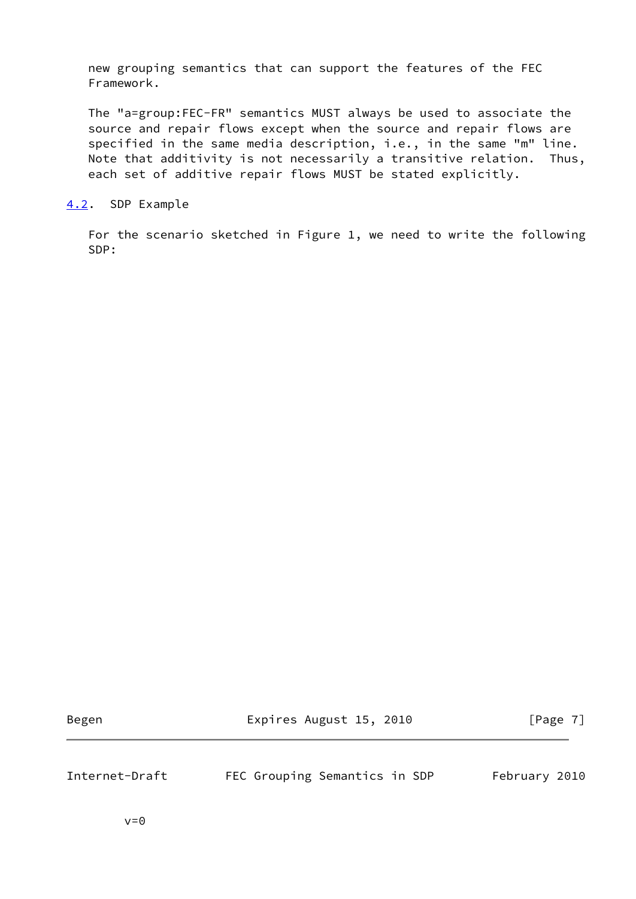new grouping semantics that can support the features of the FEC Framework.

 The "a=group:FEC-FR" semantics MUST always be used to associate the source and repair flows except when the source and repair flows are specified in the same media description, i.e., in the same "m" line. Note that additivity is not necessarily a transitive relation. Thus, each set of additive repair flows MUST be stated explicitly.

<span id="page-7-0"></span>[4.2](#page-7-0). SDP Example

 For the scenario sketched in Figure 1, we need to write the following SDP:

Begen Expires August 15, 2010 [Page 7]

<span id="page-7-1"></span>Internet-Draft FEC Grouping Semantics in SDP February 2010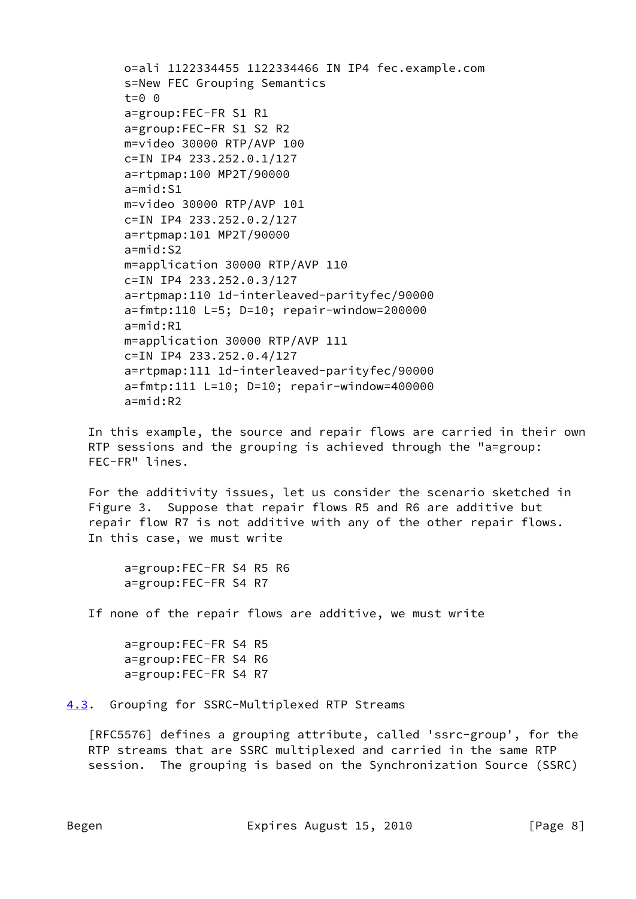```
 o=ali 1122334455 1122334466 IN IP4 fec.example.com
s=New FEC Grouping Semantics
t=0 0
a=group:FEC-FR S1 R1
a=group:FEC-FR S1 S2 R2
m=video 30000 RTP/AVP 100
c=IN IP4 233.252.0.1/127
a=rtpmap:100 MP2T/90000
a=mid:S1
m=video 30000 RTP/AVP 101
c=IN IP4 233.252.0.2/127
a=rtpmap:101 MP2T/90000
a=mid:S2
m=application 30000 RTP/AVP 110
c=IN IP4 233.252.0.3/127
a=rtpmap:110 1d-interleaved-parityfec/90000
a=fmtp:110 L=5; D=10; repair-window=200000
a=mid:R1
m=application 30000 RTP/AVP 111
c=IN IP4 233.252.0.4/127
a=rtpmap:111 1d-interleaved-parityfec/90000
a=fmtp:111 L=10; D=10; repair-window=400000
a=mid:R2
```
 In this example, the source and repair flows are carried in their own RTP sessions and the grouping is achieved through the "a=group: FEC-FR" lines.

 For the additivity issues, let us consider the scenario sketched in Figure 3. Suppose that repair flows R5 and R6 are additive but repair flow R7 is not additive with any of the other repair flows. In this case, we must write

```
 a=group:FEC-FR S4 R5 R6
a=group:FEC-FR S4 R7
```
If none of the repair flows are additive, we must write

```
 a=group:FEC-FR S4 R5
a=group:FEC-FR S4 R6
a=group:FEC-FR S4 R7
```
<span id="page-8-0"></span>[4.3](#page-8-0). Grouping for SSRC-Multiplexed RTP Streams

 [RFC5576] defines a grouping attribute, called 'ssrc-group', for the RTP streams that are SSRC multiplexed and carried in the same RTP session. The grouping is based on the Synchronization Source (SSRC)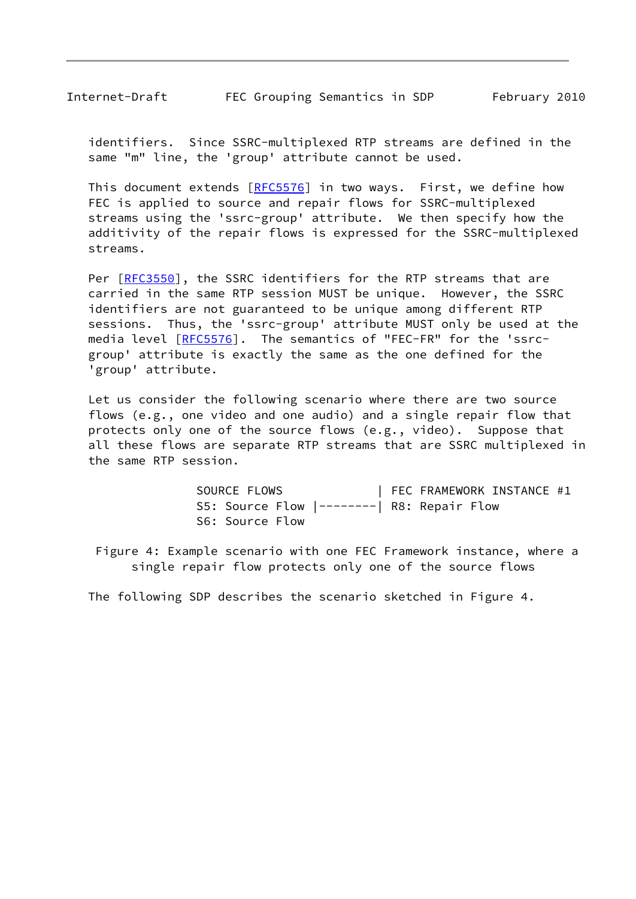Internet-Draft FEC Grouping Semantics in SDP February 2010

 identifiers. Since SSRC-multiplexed RTP streams are defined in the same "m" line, the 'group' attribute cannot be used.

This document extends [[RFC5576](https://datatracker.ietf.org/doc/pdf/rfc5576)] in two ways. First, we define how FEC is applied to source and repair flows for SSRC-multiplexed streams using the 'ssrc-group' attribute. We then specify how the additivity of the repair flows is expressed for the SSRC-multiplexed streams.

Per [\[RFC3550](https://datatracker.ietf.org/doc/pdf/rfc3550)], the SSRC identifiers for the RTP streams that are carried in the same RTP session MUST be unique. However, the SSRC identifiers are not guaranteed to be unique among different RTP sessions. Thus, the 'ssrc-group' attribute MUST only be used at the media level [\[RFC5576](https://datatracker.ietf.org/doc/pdf/rfc5576)]. The semantics of "FEC-FR" for the 'ssrc group' attribute is exactly the same as the one defined for the 'group' attribute.

 Let us consider the following scenario where there are two source flows (e.g., one video and one audio) and a single repair flow that protects only one of the source flows (e.g., video). Suppose that all these flows are separate RTP streams that are SSRC multiplexed in the same RTP session.

> SOURCE FLOWS | FEC FRAMEWORK INSTANCE #1 S5: Source Flow |--------| R8: Repair Flow S6: Source Flow

 Figure 4: Example scenario with one FEC Framework instance, where a single repair flow protects only one of the source flows

The following SDP describes the scenario sketched in Figure 4.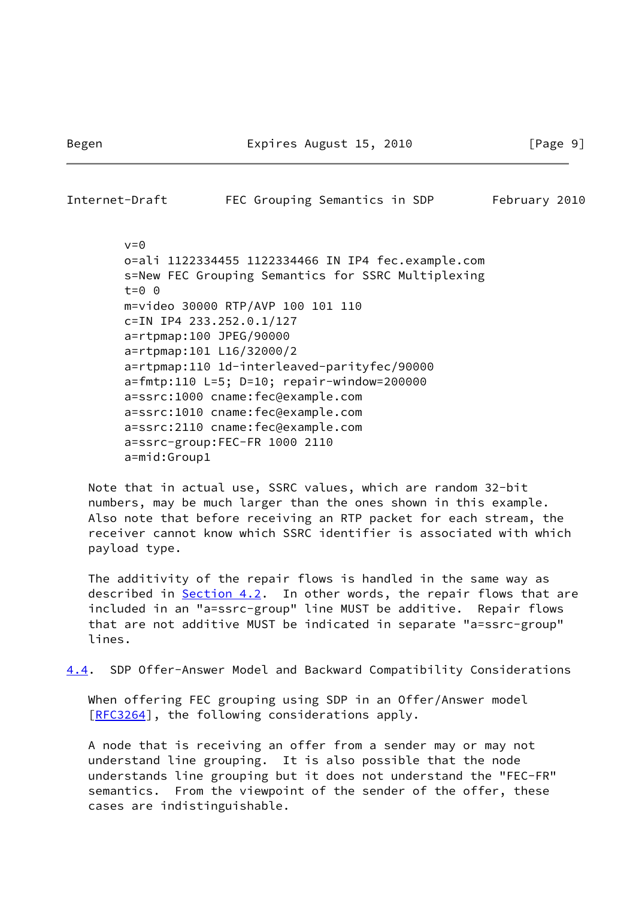<span id="page-10-0"></span>Internet-Draft FEC Grouping Semantics in SDP February 2010

 $v=0$  o=ali 1122334455 1122334466 IN IP4 fec.example.com s=New FEC Grouping Semantics for SSRC Multiplexing t=0 0 m=video 30000 RTP/AVP 100 101 110 c=IN IP4 233.252.0.1/127 a=rtpmap:100 JPEG/90000 a=rtpmap:101 L16/32000/2 a=rtpmap:110 1d-interleaved-parityfec/90000 a=fmtp:110 L=5; D=10; repair-window=200000 a=ssrc:1000 cname:fec@example.com a=ssrc:1010 cname:fec@example.com a=ssrc:2110 cname:fec@example.com a=ssrc-group:FEC-FR 1000 2110 a=mid:Group1

 Note that in actual use, SSRC values, which are random 32-bit numbers, may be much larger than the ones shown in this example. Also note that before receiving an RTP packet for each stream, the receiver cannot know which SSRC identifier is associated with which payload type.

 The additivity of the repair flows is handled in the same way as described in [Section 4.2](#page-7-0). In other words, the repair flows that are included in an "a=ssrc-group" line MUST be additive. Repair flows that are not additive MUST be indicated in separate "a=ssrc-group" lines.

<span id="page-10-1"></span>[4.4](#page-10-1). SDP Offer-Answer Model and Backward Compatibility Considerations

 When offering FEC grouping using SDP in an Offer/Answer model [\[RFC3264](https://datatracker.ietf.org/doc/pdf/rfc3264)], the following considerations apply.

 A node that is receiving an offer from a sender may or may not understand line grouping. It is also possible that the node understands line grouping but it does not understand the "FEC-FR" semantics. From the viewpoint of the sender of the offer, these cases are indistinguishable.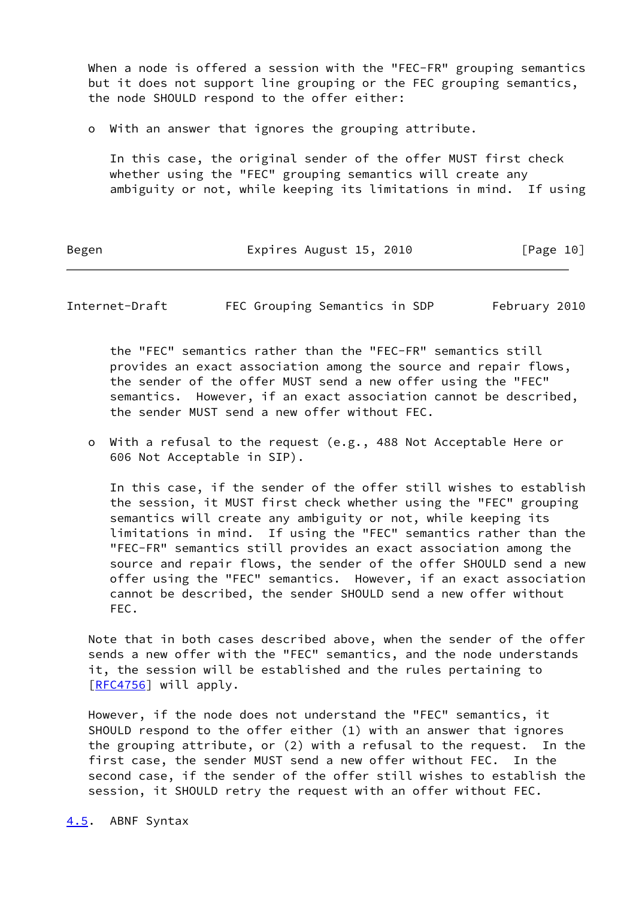When a node is offered a session with the "FEC-FR" grouping semantics but it does not support line grouping or the FEC grouping semantics, the node SHOULD respond to the offer either:

o With an answer that ignores the grouping attribute.

 In this case, the original sender of the offer MUST first check whether using the "FEC" grouping semantics will create any ambiguity or not, while keeping its limitations in mind. If using

Begen Expires August 15, 2010 [Page 10]

<span id="page-11-1"></span>Internet-Draft FEC Grouping Semantics in SDP February 2010

 the "FEC" semantics rather than the "FEC-FR" semantics still provides an exact association among the source and repair flows, the sender of the offer MUST send a new offer using the "FEC" semantics. However, if an exact association cannot be described, the sender MUST send a new offer without FEC.

 o With a refusal to the request (e.g., 488 Not Acceptable Here or 606 Not Acceptable in SIP).

 In this case, if the sender of the offer still wishes to establish the session, it MUST first check whether using the "FEC" grouping semantics will create any ambiguity or not, while keeping its limitations in mind. If using the "FEC" semantics rather than the "FEC-FR" semantics still provides an exact association among the source and repair flows, the sender of the offer SHOULD send a new offer using the "FEC" semantics. However, if an exact association cannot be described, the sender SHOULD send a new offer without FEC.

 Note that in both cases described above, when the sender of the offer sends a new offer with the "FEC" semantics, and the node understands it, the session will be established and the rules pertaining to [\[RFC4756](https://datatracker.ietf.org/doc/pdf/rfc4756)] will apply.

 However, if the node does not understand the "FEC" semantics, it SHOULD respond to the offer either (1) with an answer that ignores the grouping attribute, or (2) with a refusal to the request. In the first case, the sender MUST send a new offer without FEC. In the second case, if the sender of the offer still wishes to establish the session, it SHOULD retry the request with an offer without FEC.

<span id="page-11-0"></span>[4.5](#page-11-0). ABNF Syntax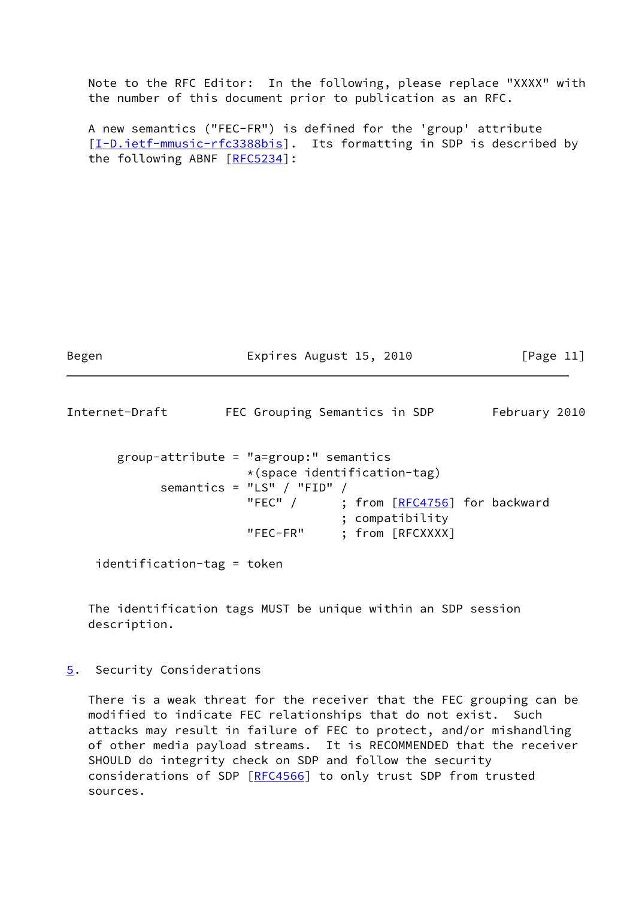Note to the RFC Editor: In the following, please replace "XXXX" with the number of this document prior to publication as an RFC.

 A new semantics ("FEC-FR") is defined for the 'group' attribute [\[I-D.ietf-mmusic-rfc3388bis\]](#page-5-5). Its formatting in SDP is described by the following ABNF [[RFC5234\]](https://datatracker.ietf.org/doc/pdf/rfc5234):

<span id="page-12-1"></span>Begen **Expires August 15, 2010** [Page 11] Internet-Draft FEC Grouping Semantics in SDP February 2010

```
 group-attribute = "a=group:" semantics
                *(space identification-tag)
    semantics = "LS" / "FID" /RFC4756] for backward
                           ; compatibility
                "FEC-FR" ; from [RFCXXXX]
```
identification-tag = token

 The identification tags MUST be unique within an SDP session description.

<span id="page-12-0"></span>[5](#page-12-0). Security Considerations

 There is a weak threat for the receiver that the FEC grouping can be modified to indicate FEC relationships that do not exist. Such attacks may result in failure of FEC to protect, and/or mishandling of other media payload streams. It is RECOMMENDED that the receiver SHOULD do integrity check on SDP and follow the security considerations of SDP [[RFC4566](https://datatracker.ietf.org/doc/pdf/rfc4566)] to only trust SDP from trusted sources.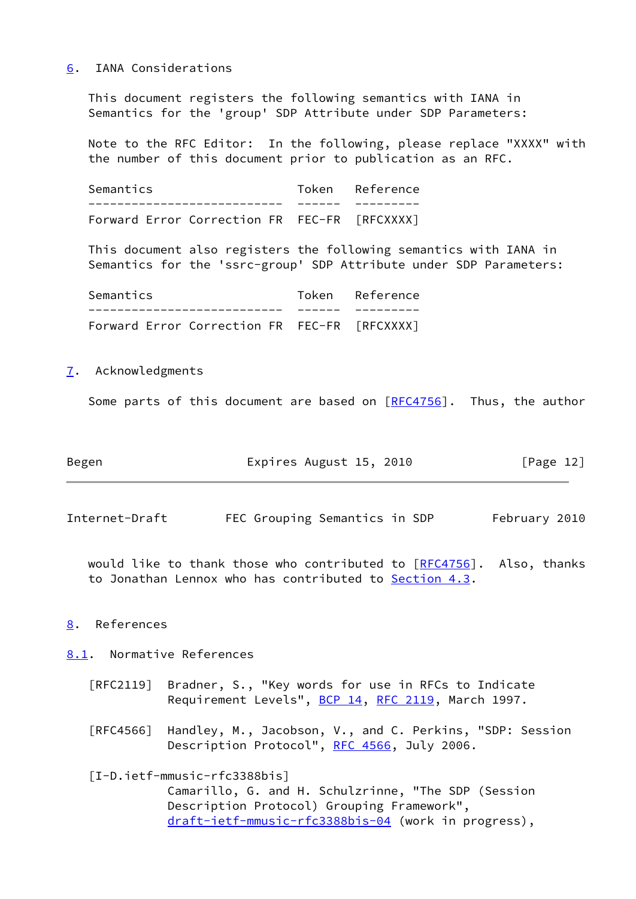#### <span id="page-13-0"></span>[6](#page-13-0). IANA Considerations

 This document registers the following semantics with IANA in Semantics for the 'group' SDP Attribute under SDP Parameters:

 Note to the RFC Editor: In the following, please replace "XXXX" with the number of this document prior to publication as an RFC.

Semantics Token Reference --------------------------- ------ --------- Forward Error Correction FR FEC-FR [RFCXXXX]

 This document also registers the following semantics with IANA in Semantics for the 'ssrc-group' SDP Attribute under SDP Parameters:

| Semantics                                    | Token Reference |
|----------------------------------------------|-----------------|
|                                              |                 |
| Forward Error Correction FR FEC-FR [RFCXXXX] |                 |

<span id="page-13-1"></span>[7](#page-13-1). Acknowledgments

Some parts of this document are based on  $[REC4756]$ . Thus, the author

| Begen | Expires August 15, 2010 | [Page 12] |
|-------|-------------------------|-----------|
|-------|-------------------------|-----------|

<span id="page-13-3"></span>Internet-Draft FEC Grouping Semantics in SDP February 2010

would like to thank those who contributed to  $[RFC4756]$  $[RFC4756]$ . Also, thanks to Jonathan Lennox who has contributed to [Section 4.3](#page-8-0).

## <span id="page-13-2"></span>[8](#page-13-2). References

<span id="page-13-4"></span>[8.1](#page-13-4). Normative References

- [RFC2119] Bradner, S., "Key words for use in RFCs to Indicate Requirement Levels", [BCP 14](https://datatracker.ietf.org/doc/pdf/bcp14), [RFC 2119](https://datatracker.ietf.org/doc/pdf/rfc2119), March 1997.
- [RFC4566] Handley, M., Jacobson, V., and C. Perkins, "SDP: Session Description Protocol", [RFC 4566](https://datatracker.ietf.org/doc/pdf/rfc4566), July 2006.

 [I-D.ietf-mmusic-rfc3388bis] Camarillo, G. and H. Schulzrinne, "The SDP (Session Description Protocol) Grouping Framework", [draft-ietf-mmusic-rfc3388bis-04](https://datatracker.ietf.org/doc/pdf/draft-ietf-mmusic-rfc3388bis-04) (work in progress),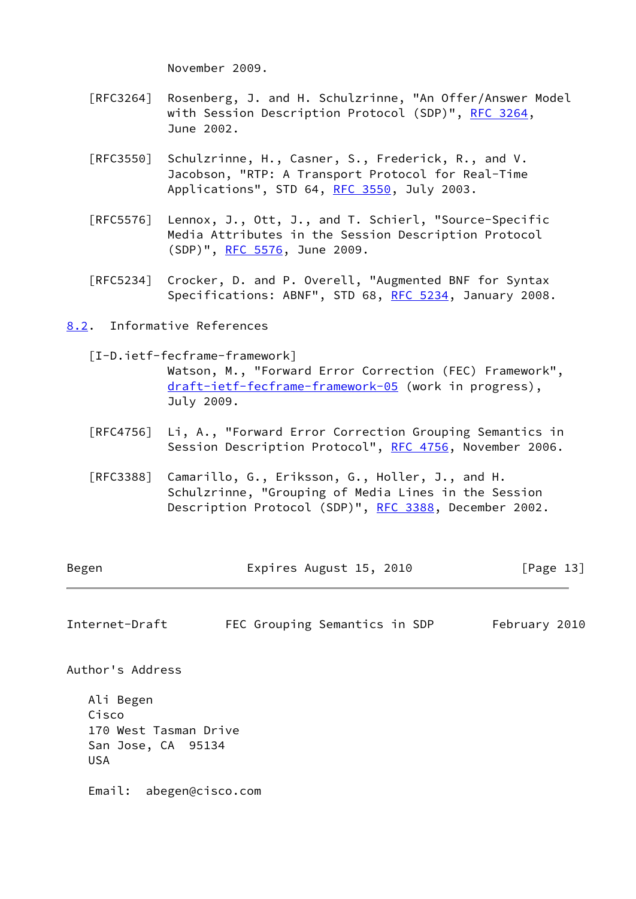November 2009.

- [RFC3264] Rosenberg, J. and H. Schulzrinne, "An Offer/Answer Model with Session Description Protocol (SDP)", [RFC 3264](https://datatracker.ietf.org/doc/pdf/rfc3264), June 2002.
- [RFC3550] Schulzrinne, H., Casner, S., Frederick, R., and V. Jacobson, "RTP: A Transport Protocol for Real-Time Applications", STD 64, [RFC 3550](https://datatracker.ietf.org/doc/pdf/rfc3550), July 2003.
- [RFC5576] Lennox, J., Ott, J., and T. Schierl, "Source-Specific Media Attributes in the Session Description Protocol (SDP)", [RFC 5576,](https://datatracker.ietf.org/doc/pdf/rfc5576) June 2009.
- [RFC5234] Crocker, D. and P. Overell, "Augmented BNF for Syntax Specifications: ABNF", STD 68, [RFC 5234](https://datatracker.ietf.org/doc/pdf/rfc5234), January 2008.
- <span id="page-14-0"></span>[8.2](#page-14-0). Informative References
	- [I-D.ietf-fecframe-framework]

<span id="page-14-2"></span> Watson, M., "Forward Error Correction (FEC) Framework", [draft-ietf-fecframe-framework-05](https://datatracker.ietf.org/doc/pdf/draft-ietf-fecframe-framework-05) (work in progress), July 2009.

- [RFC4756] Li, A., "Forward Error Correction Grouping Semantics in Session Description Protocol", [RFC 4756](https://datatracker.ietf.org/doc/pdf/rfc4756), November 2006.
- [RFC3388] Camarillo, G., Eriksson, G., Holler, J., and H. Schulzrinne, "Grouping of Media Lines in the Session Description Protocol (SDP)", [RFC 3388](https://datatracker.ietf.org/doc/pdf/rfc3388), December 2002.

| Begen | Expires August 15, 2010 | [Page 13] |
|-------|-------------------------|-----------|
|       |                         |           |

<span id="page-14-1"></span>Internet-Draft FEC Grouping Semantics in SDP February 2010

Author's Address

 Ali Begen Cisco 170 West Tasman Drive San Jose, CA 95134 USA

Email: abegen@cisco.com